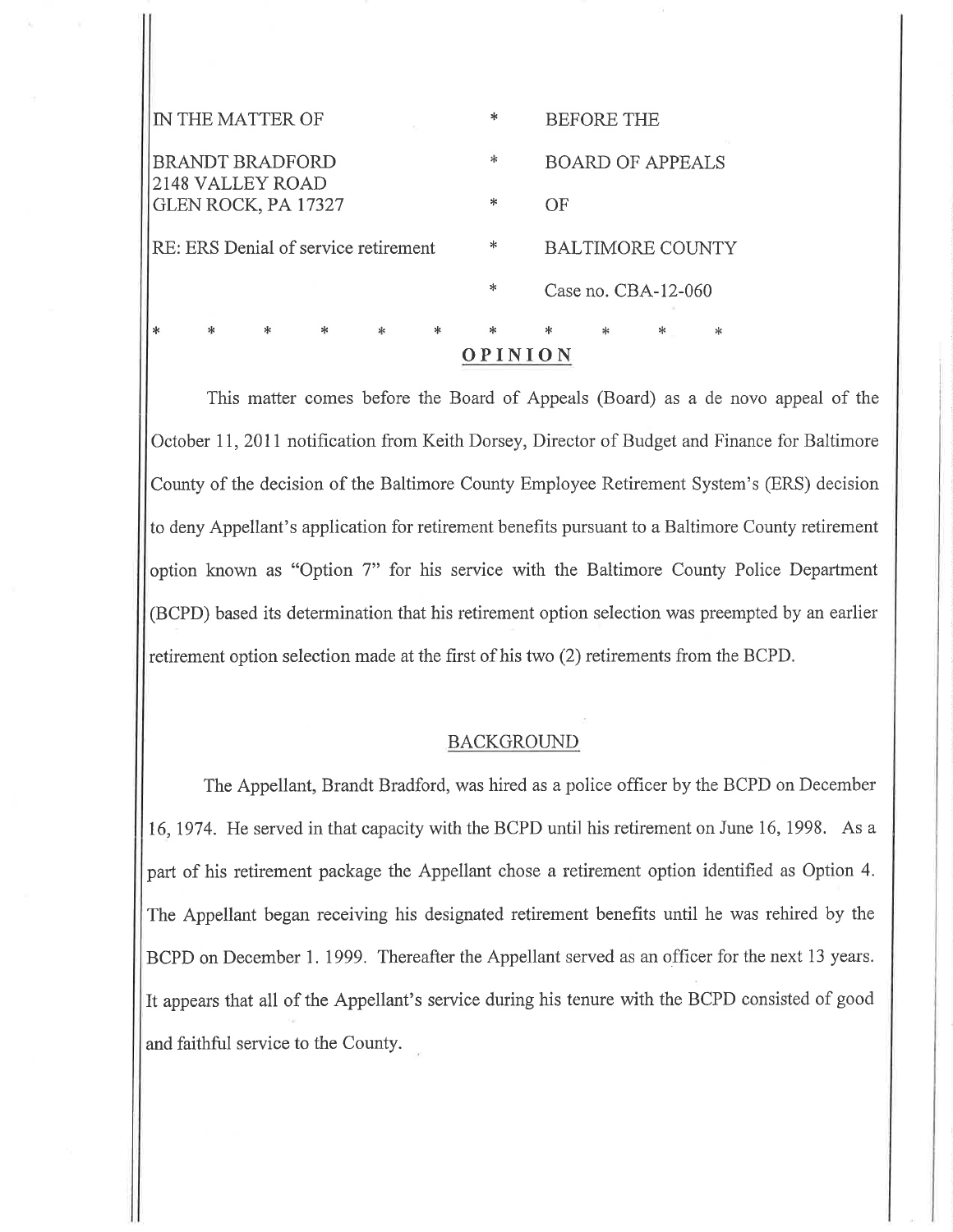| OPINION                                    |   |   |   |  |  |        |    |                         |                     |  |  |
|--------------------------------------------|---|---|---|--|--|--------|----|-------------------------|---------------------|--|--|
|                                            | ж | * | * |  |  | ж      |    | ж                       | *                   |  |  |
|                                            |   |   |   |  |  | $\ast$ |    |                         | Case no. CBA-12-060 |  |  |
| RE: ERS Denial of service retirement       |   |   |   |  |  | *      |    | <b>BALTIMORE COUNTY</b> |                     |  |  |
| GLEN ROCK, PA 17327                        |   |   |   |  |  | ∗      | OF |                         |                     |  |  |
| <b>BRANDT BRADFORD</b><br>2148 VALLEY ROAD |   |   |   |  |  | $\ast$ |    | <b>BOARD OF APPEALS</b> |                     |  |  |
| IN THE MATTER OF                           |   |   |   |  |  | ∗      |    | <b>BEFORE THE</b>       |                     |  |  |
|                                            |   |   |   |  |  |        |    |                         |                     |  |  |

This matter comes before the Board of Appeals (Board) as a de novo appeal of the October II,2011 notification from Keith Dorsey, Director of Budget and Finance for Baltimore County of the decision of the Baltimore County Employee Retirement System's (ERS) decision to deny Appellant's application for retirement benefits pursuant to a Baltimore County retirement option known as "Option 7" for his service with the Baltimore County Police Department (BCPD) based its determination that his retirement option selection was preempted by an earlier retirement option selection made at the first of his two (2) retirements from the BCPD,

# **BACKGROUND**

The Appellant, Brandt Bradford, was hired as a police officer by the BCPD on December 16,1974. He served in that capacity with the BCPD until his retirement on June 16,1998. As <sup>a</sup> part of his retirement package the Appellant chose a retirement option identified as Option 4. The Appellant began receiving his designated retirement benefits until he was rehired by the BCPD on December 1. 1999. Thereafter the Appellant served as an officer for the next 13 years. It appears that alI of the Appellant's service during his tenure with the BCPD consisted of good and faithful service to the County.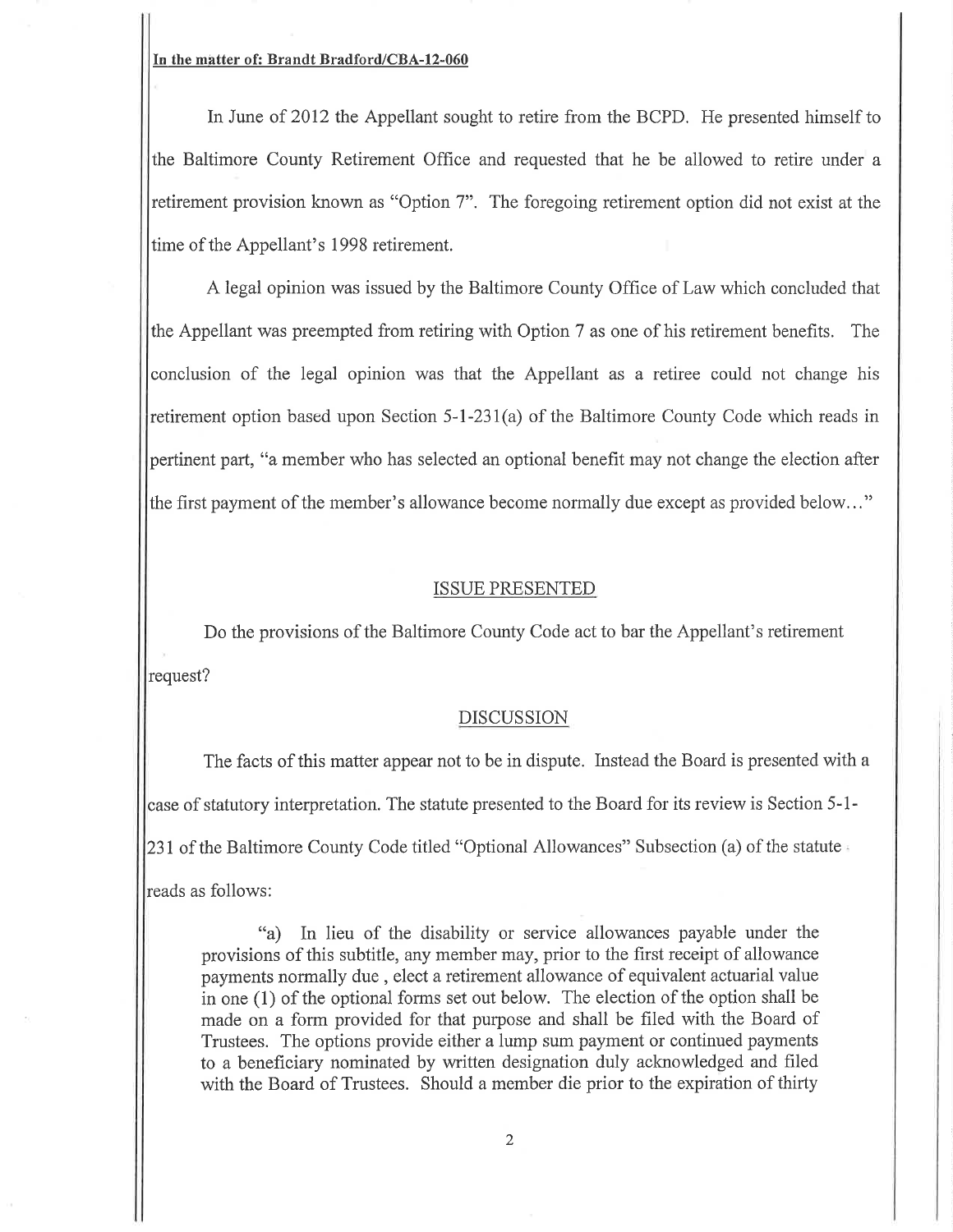#### In the mâtter of: Brandt Bradford/CBA-l2-060

In June of 2012 the Appellant sought to retire from the BCPD. He presented himself to the Baltimore County Retirement Office and requested that he be allowed to retire under a retirement provision known as "Option 7". The foregoing retirement option did not exist at the time of the Appellant's 1998 retirement.

A legal opinion was issued by the Baltimore County Office of Law which concluded that the Appellant was preempted from retiring with Option 7 as one of his retirement benefits. The conclusion of the legal opinion was that the Appellant as a retiree could not change his retirement option based upon Section 5-l-231(a) of the Baltimore County Code which reads in pertinent part, "a member who has selected an optional benefit may not change the election after the frrst payment of the member's allowance become normally due except as provided below..."

#### ISSUE PRESENTED

Do the provisions of the Baltimore County Code act to bar the Appellant's retirement request?

### DISCUSSION

The facts of this matter appear not to be in dispute. Instead the Board is presented with a case of statutory interpretation. The statute presented to the Board for its review is Section 5- 1- 231 of the Baltimore County Code titled "Optional Allowances" Subsection (a) of the statute reads as follows:

\*a) In lieu of the disability or service allowances payable under the provisions of this subtitle, any member may, prior to the first receipt of allowance payments normally due , elect a retirement allowance of equivalent actuarial value in one (1) of the optional forms set out below. The election of the option shall be made on a form provided for that purpose and shall be filed with the Board of Trustees. The options provide either a lump sum payment or continued payments to a beneficiary nominated by written designation duly acknowledged and filed with the Board of Trustees. Should a member die prior to the expiration of thirty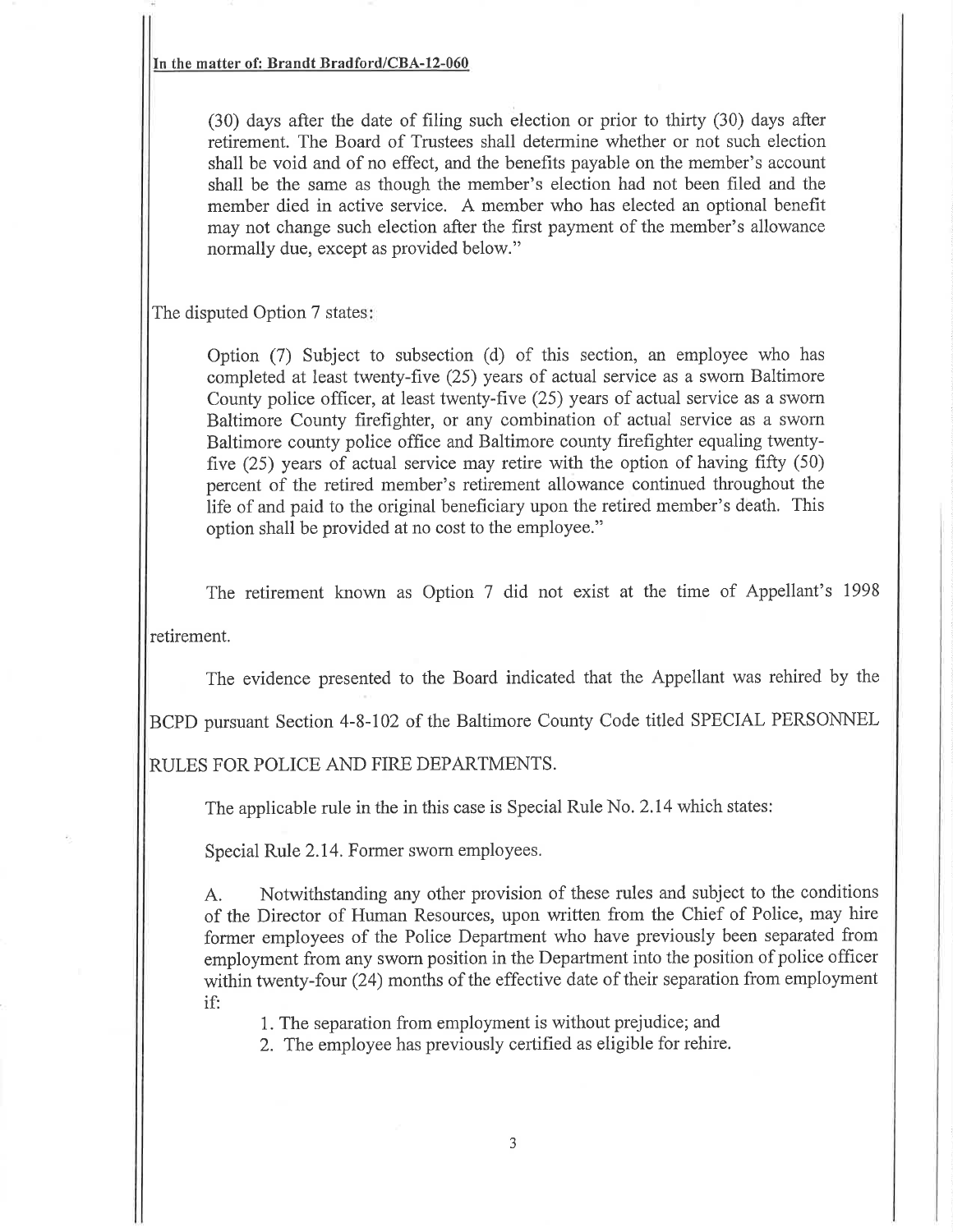In the matter of: Brandt Bradford/CBA-12-060

(30) days after the date of filing such election or prior to thirty (30) days after retirement. The Board of Trustees shall determine whether or not such election shall be void and of no effect, and the benefits payable on the member's account shall be the same as though the member's election had not been filed and the member died in active service. A member who has elected an optional benefit may not change such election after the first payment of the member's allowance normally due, except as provided below."

The disputed Option 7 states

Option (7) Subject to subsection (d) of this section, an employee who has completed at least twenty-five (25) years of actual service as a swom Baltimore County police officer, at least twenty-five (25) years of actual service as a swom Baltimore County firefighter, or any combination of actual service as a swom Baltimore county police office and Baltimore county firefighter equaling twentyfive  $(25)$  years of actual service may retire with the option of having fifty  $(50)$ percent of the retired member's retirement allowance continued throughout the life of and paid to the original beneficiary upon the retired member's death. This option shall be provided at no cost to the employee."

The retirement known as Option 7 did not exist at the time of Appellant's <sup>1998</sup>

retirement.

The evidence presented to the Board indicated that the Appellant was rehired by the

BCPD pursuant Section 4-8-102 of the Baltimore County Code titled SPECIAL PERSONNEL

RULES FOR POLICE AND FIRE DEPARTMENTS.

The applicable rule in the in this case is Special Rule No. 2.14 which states:

Special Rule 2.14. Former sworn employees.

A. Notwithstanding any other provision of these rules and subject to the conditions of the Director of Human Resources, upon written from the Chief of Police, may hire former employees of the Police Department who have previously been separated from employment from any sworn position in the Department into the position of police officer within twenty-four (24) months of the effective date of their separation from employment if:

1. The separation from employment is without prejudice; and

2. The employee has previously certified as eligible for rehire.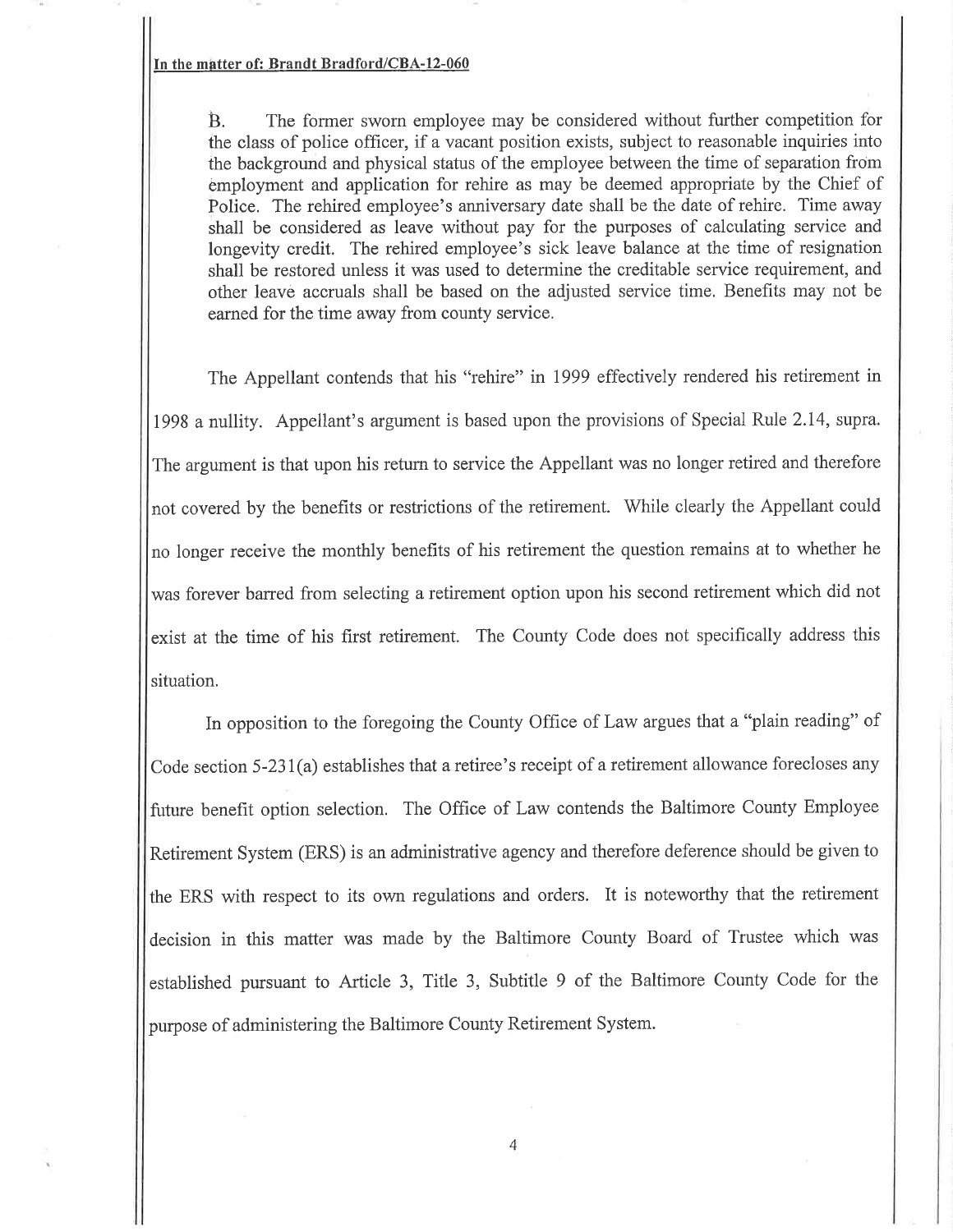In the mâtter of: Brandt Bradford/CBA-12-060

 $B.$  The former sworn employee may be considered without further competition for the class of police offrcer, if avacant position exists, subject to reasonable inquiries into the background and physical status of the employee between the time of separation from employment and application for rehire as may be deemed appropriate by the Chief of Police. The rehired employee's anniversary date shall be the date of rehire. Time away shall be considered as leave without pay for the purposes of calculating service and longevity credit. The rehired employee's sick leave balance at the time of resignation shall be restored unless it was used to determine the creditable service requirement, and other leave accruals shall be based on the adjusted service time. Benefits may not be earned for the time away from county service.

The Appellant contends that his "rehire" in 1999 effectively rendered his retirement in 1998 a nullity. Appellant's argument is based upon the provisions of Special Rule 2.14, supra. The argument is that upon his return to service the Appellant was no longer retired and therefore not covered by the benefits or restrictions of the retirement. While clearly the Appellant could no longer receive the monthly benefits of his retirement the question remains at to whether he was forever barred from selecting a retirement option upon his second retirement which did not exist at the time of his first retirement. The County Code does not specifically address this situation.

In opposition to the foregoing the County Office of Law argues that a "plain reading" of Code section 5-231(a) establishes that a retiree's receipt of a retirement allowance forecloses any future benefit option selection. The Office of Law contends the Baltimore County Employee Retirement System (ERS) is an administrative agency and therefore deference should be given to the ERS with respect to its own regulations and orders. It is noteworthy that the retirement decision in this matter was made by the Baltimore County Board of Trustee which was established pursuant to Article 3, Title 3, Subtitle 9 of the Baltimore County Code for the purpose of administering the Baltimore County Retirement System.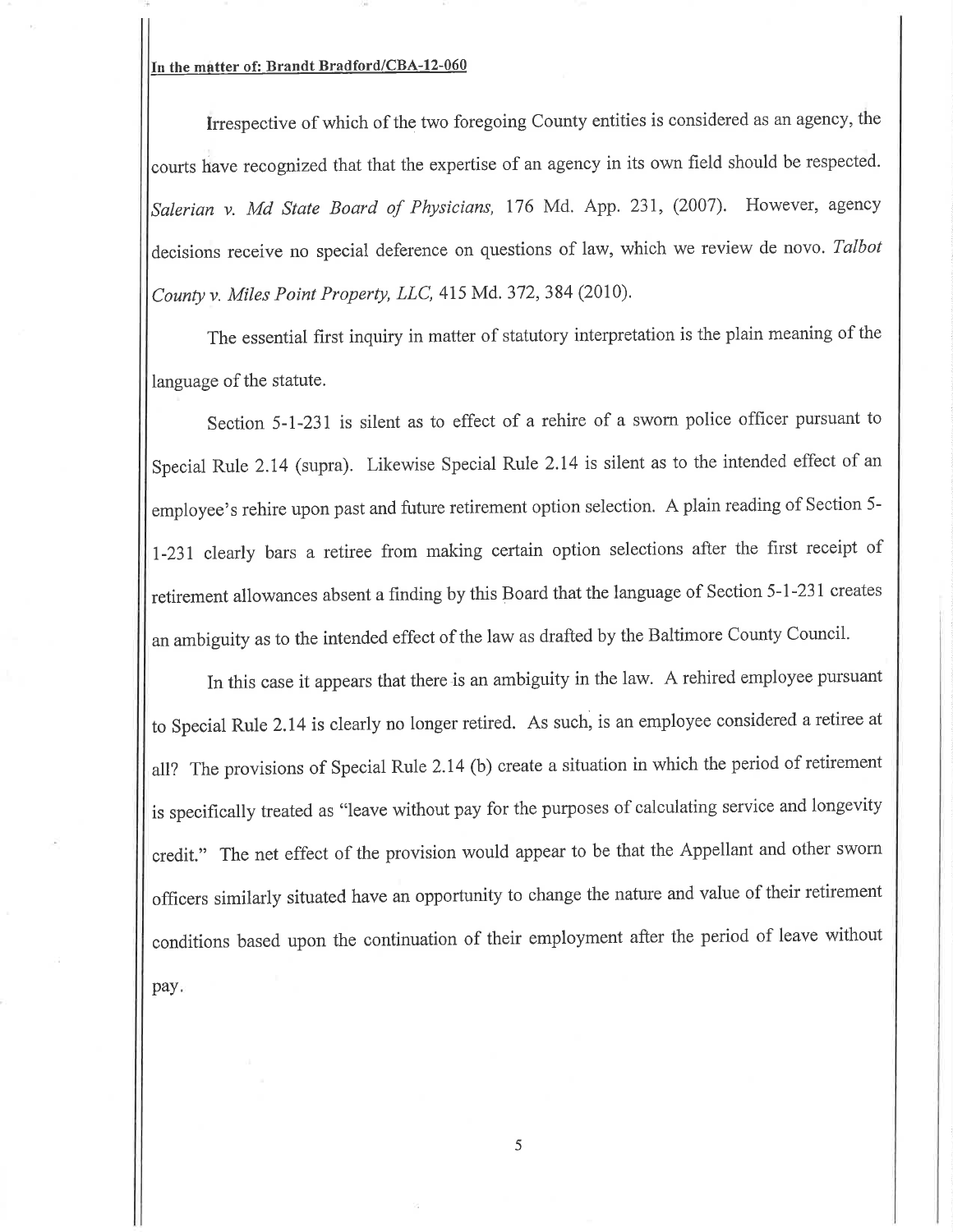## In the mâtter of: Brandt Bradford/CBA-12-060

Irrespective of which of the two foregoing County entities is considered as an agency, the courts have recognized that that the expertise of an agency in its own field should be respected. Salerian v. Md State Board of Physicians, 176 Md. App. 231, (2007). However, agency decisions receive no special deference on questions of law, which we review de novo. Talbot County y. Miles Point Property, LLC,  $415$  Md. 372, 384 (2010).

The essential first inquiry in matter of statutory interpretation is the plain meaning of the language of the statute.

Section 5-1-231 is silent as to effect of a rehire of a swom police officer pursuant to Special Rule 2.14 (supra). Likewise Special Rule 2.14 is silent as to the intended effect of an employee's rehire upon past and future retirement option selection. A plain reading of Section 5- I-231 clearly bars a retiree from making certain option selections after the first receipt of retirement allowances absent a finding by this Board that the language of Section 5-l-231 creates an ambiguity as to the intended effect of the law as drafted by the Baltimore County Council.

In this case it appears that there is an ambiguity in the law. A rehired employee pursuant to Special Rute 2.14 is clearly no longer retired. As such, is an employee considered a retiree at all? The provisions of Special Rule 2.14 (b) create a situation in which the period of retirement is specifically treated as "leave without pay for the purposes of calculating service and longevity credit." The net effect of the provision would appear to be that the Appellant and other sworn offrcers similarly situated have an opportunity to change the nature and value of their retirement conditions based upon the continuation of their employment after the period of leave without pay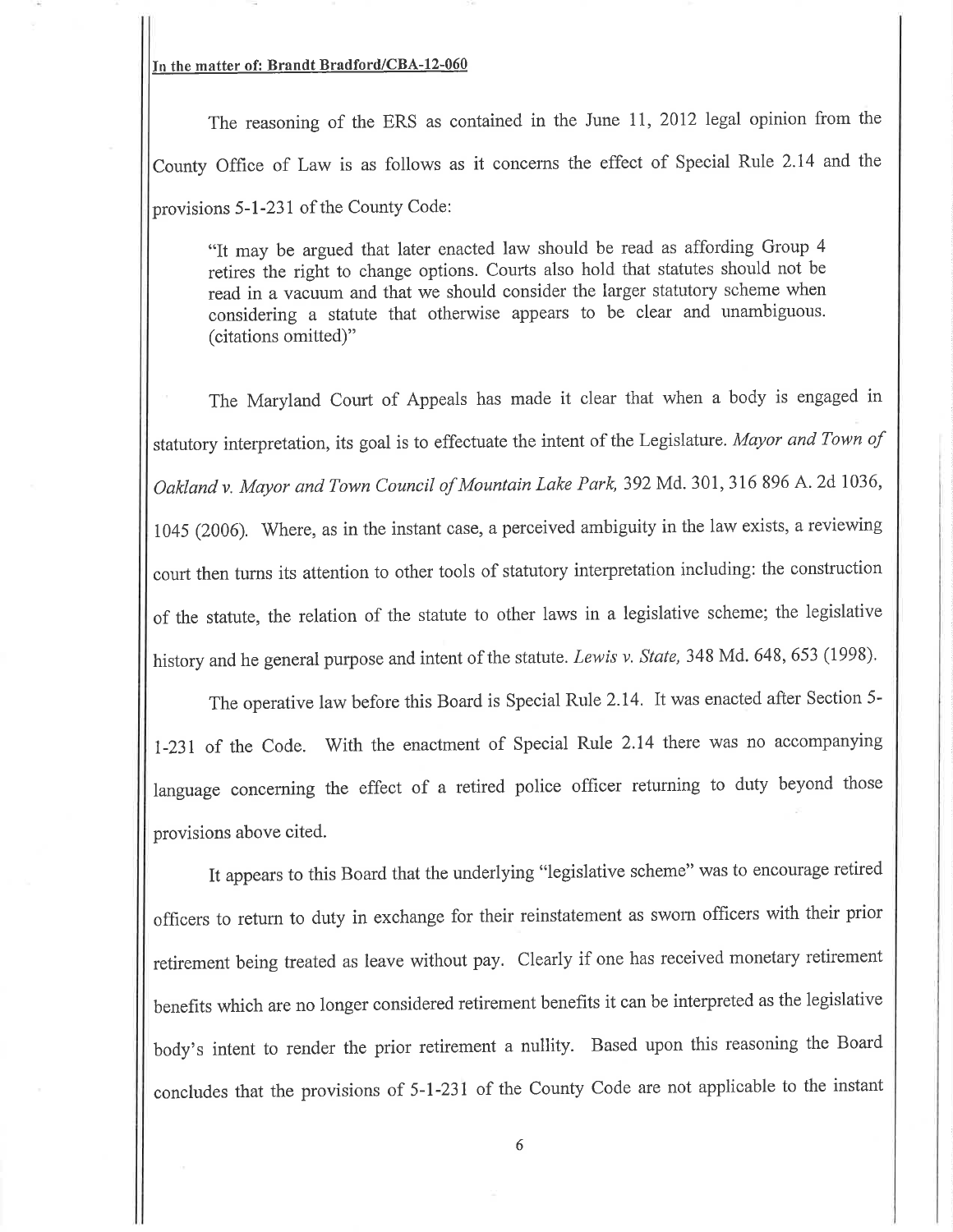# In the matter of: Brandt Bradford/CBA-12-060

The reasoning of the ERS as contained in the June 11,2012 legal opinion from the County Office of Law is as follows as it concems the effect of Special Rule 2.14 and the provisions 5-l-231 of the County Code:

"It may be argued that later enacted law should be read as affording Group <sup>4</sup> retires the right to change options. Courts also hold that statutes should not be read in a vacuum and that we should consider the larger statutory scheme when considering a statute that otherwise appears to be clear and unambiguous. (citations omitted)"

The Maryland Court of Appeals has made it clear that when a body is engaged in statutory interpretation, its goal is to effectuate the intent of the Legislature. Mayor and Town of Oakland v. Mayor and Town Council of Mountain Lake Park, 392 Md. 301, 316 896 A. 2d 1036, <sup>1045</sup>(2006). Where, as in the instant case, a perceived ambiguity in the law exists, a reviewing court then turns its attention to other tools of statutory interpretation including: the construction of the statute, the relation of the statute to other laws in a legislative scheme; the legislative history and he general purpose and intent of the statute. Lewis v. State, 348 Md. 648, 653 (1998).

The operative law before this Board is Special Rule 2.14. It was enacted after Section 5 l-231 of the Code. With the enactment of Special Rule 2.14 there was no accompanying language concerning the effect of a retired police officer returning to duty beyond those provisions above cited.

It appears to this Board that the underlying "legislative scheme" was to encourage retired officers to return to duty in exchange for their reinstatement as sworn officers with their prior retirement being treated as leave without pay. Clearly if one has received monetary retirement benefits which are no longer considered retirement benefits it can be interpreted as the legislative body's intent to render the prior retirement a nullity. Based upon this reasoning the Board concludes that the provisions of 5-l-231 of the County Code are not applicable to the instant